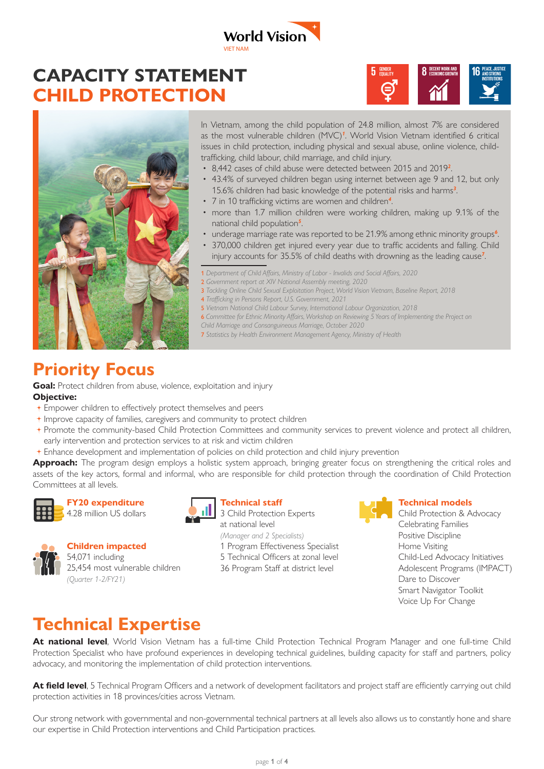# **CAPACITY STATEMENT CHILD PROTECTION**



In Vietnam, among the child population of 24.8 million, almost 7% are considered as the most vulnerable children (MVC)*<sup>1</sup>* . World Vision Vietnam identified 6 critical issues in child protection, including physical and sexual abuse, online violence, childtrafficking, child labour, child marriage, and child injury.

5 GENDER  $\boldsymbol{\ominus}$ 

- 8,442 cases of child abuse were detected between 2015 and 2019*<sup>2</sup>* .
- 43.4% of surveyed children began using internet between age 9 and 12, but only 15.6% children had basic knowledge of the potential risks and harms*<sup>3</sup>* .
- 7 in 10 trafficking victims are women and children*<sup>4</sup>* .
- more than 1.7 million children were working children, making up 9.1% of the national child population*<sup>5</sup>* .
- underage marriage rate was reported to be 21.9% among ethnic minority groups*<sup>6</sup>* .
- 370,000 children get injured every year due to traffic accidents and falling. Child injury accounts for 35.5% of child deaths with drowning as the leading cause*<sup>7</sup>* .
- 1 *Department of Child Affairs, Ministry of Labor Invalids and Social Affairs, 2020*
- 2 *Government report at XIV National Assembly meeting, 2020*
- 3 *Tackling Online Child Sexual Exploitation Project, World Vision Vietnam, Baseline Report, 2018*
- 4 *Trafficking in Persons Report, U.S. Government, 2021*

VIET NAM

**World Vision** 

- 5 *Vietnam National Child Labour Survey, International Labour Organization, 2018*
- 6 *Committee for Ethnic Minority Affairs, Workshop on Reviewing 5 Years of Implementing the Project on*
- *Child Marriage and Consanguineous Marriage, October 2020*
- 7 *Statistics by Health Environment Management Agency, Ministry of Health*

## **Priority Focus**

**Goal:** Protect children from abuse, violence, exploitation and injury

#### **Objective:**

- Empower children to effectively protect themselves and peers
- Improve capacity of families, caregivers and community to protect children
- Promote the community-based Child Protection Committees and community services to prevent violence and protect all children, early intervention and protection services to at risk and victim children
- Enhance development and implementation of policies on child protection and child injury prevention

Approach: The program design employs a holistic system approach, bringing greater focus on strengthening the critical roles and assets of the key actors, formal and informal, who are responsible for child protection through the coordination of Child Protection Committees at all levels.



#### **FY20 expenditure**



**Children impacted** 54,071 including 25,454 most vulnerable children *(Quarter 1-2/FY21)*

#### **Technical staff**

**11** 3 Child Protection Experts at national level *(Manager and 2 Specialists)* 1 Program Effectiveness Specialist 5 Technical Officers at zonal level 36 Program Staff at district level



#### **Technical models**

Child Protection & Advocacy Celebrating Families Positive Discipline Home Visiting Child-Led Advocacy Initiatives Adolescent Programs (IMPACT) Dare to Discover Smart Navigator Toolkit Voice Up For Change

### **Technical Expertise**

At national level, World Vision Vietnam has a full-time Child Protection Technical Program Manager and one full-time Child Protection Specialist who have profound experiences in developing technical guidelines, building capacity for staff and partners, policy advocacy, and monitoring the implementation of child protection interventions.

**At field level**, 5 Technical Program Officers and a network of development facilitators and project staff are efficiently carrying out child protection activities in 18 provinces/cities across Vietnam.

Our strong network with governmental and non-governmental technical partners at all levels also allows us to constantly hone and share our expertise in Child Protection interventions and Child Participation practices.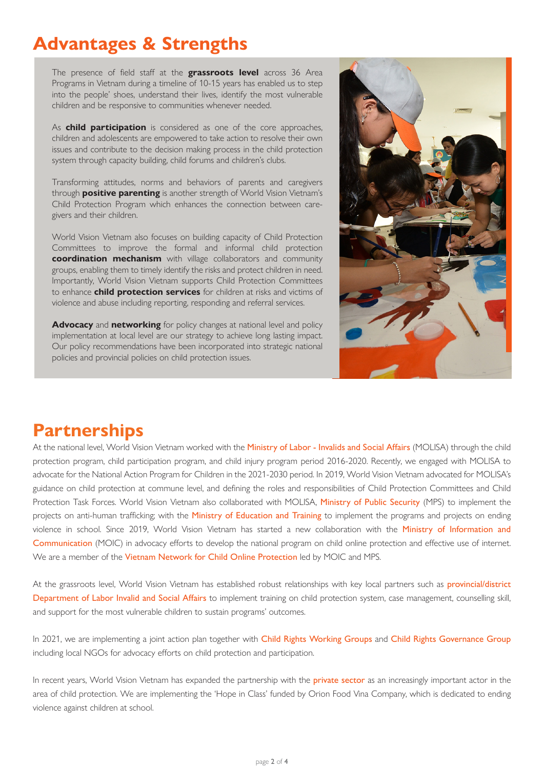# **Advantages & Strengths**

The presence of field staff at the **grassroots level** across 36 Area Programs in Vietnam during a timeline of 10-15 years has enabled us to step into the people' shoes, understand their lives, identify the most vulnerable children and be responsive to communities whenever needed.

As **child participation** is considered as one of the core approaches, children and adolescents are empowered to take action to resolve their own issues and contribute to the decision making process in the child protection system through capacity building, child forums and children's clubs.

Transforming attitudes, norms and behaviors of parents and caregivers through **positive parenting** is another strength of World Vision Vietnam's Child Protection Program which enhances the connection between caregivers and their children.

World Vision Vietnam also focuses on building capacity of Child Protection Committees to improve the formal and informal child protection **coordination mechanism** with village collaborators and community groups, enabling them to timely identify the risks and protect children in need. Importantly, World Vision Vietnam supports Child Protection Committees to enhance **child protection services** for children at risks and victims of violence and abuse including reporting, responding and referral services.

**Advocacy** and **networking** for policy changes at national level and policy implementation at local level are our strategy to achieve long lasting impact. Our policy recommendations have been incorporated into strategic national policies and provincial policies on child protection issues.



### **Partnerships**

At the national level, World Vision Vietnam worked with the Ministry of Labor - Invalids and Social Affairs (MOLISA) through the child protection program, child participation program, and child injury program period 2016-2020. Recently, we engaged with MOLISA to advocate for the National Action Program for Children in the 2021-2030 period. In 2019, World Vision Vietnam advocated for MOLISA's guidance on child protection at commune level, and defining the roles and responsibilities of Child Protection Committees and Child Protection Task Forces. World Vision Vietnam also collaborated with MOLISA, Ministry of Public Security (MPS) to implement the projects on anti-human trafficking; with the Ministry of Education and Training to implement the programs and projects on ending violence in school. Since 2019, World Vision Vietnam has started a new collaboration with the Ministry of Information and Communication (MOIC) in advocacy efforts to develop the national program on child online protection and effective use of internet. We are a member of the Vietnam Network for Child Online Protection led by MOIC and MPS.

At the grassroots level, World Vision Vietnam has established robust relationships with key local partners such as provincial/district Department of Labor Invalid and Social Affairs to implement training on child protection system, case management, counselling skill, and support for the most vulnerable children to sustain programs' outcomes.

In 2021, we are implementing a joint action plan together with Child Rights Working Groups and Child Rights Governance Group including local NGOs for advocacy efforts on child protection and participation.

In recent years, World Vision Vietnam has expanded the partnership with the **private sector** as an increasingly important actor in the area of child protection. We are implementing the 'Hope in Class' funded by Orion Food Vina Company, which is dedicated to ending violence against children at school.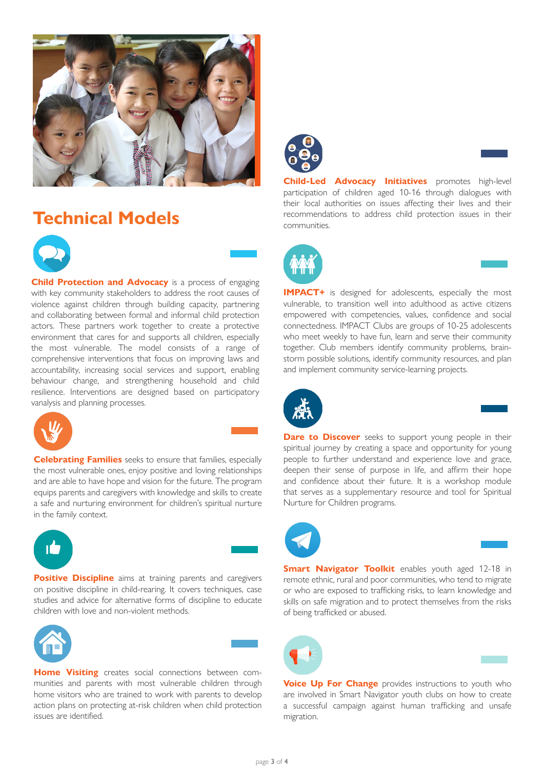

### **Technical Models**



**Child Protection and Advocacy** is a process of engaging with key community stakeholders to address the root causes of violence against children through building capacity, partnering and collaborating between formal and informal child protection actors. These partners work together to create a protective environment that cares for and supports all children, especially the most vulnerable. The model consists of a range of comprehensive interventions that focus on improving laws and accountability, increasing social services and support, enabling behaviour change, and strengthening household and child resilience. Interventions are designed based on participatory vanalysis and planning processes.



**Celebrating Families** seeks to ensure that families, especially the most vulnerable ones, enjoy positive and loving relationships and are able to have hope and vision for the future. The program equips parents and caregivers with knowledge and skills to create a safe and nurturing environment for children's spiritual nurture in the family context.



**Positive Discipline** aims at training parents and caregivers on positive discipline in child-rearing. It covers techniques, case studies and advice for alternative forms of discipline to educate children with love and non-violent methods.





**Home Visiting** creates social connections between communities and parents with most vulnerable children through home visitors who are trained to work with parents to develop action plans on protecting at-risk children when child protection issues are identified.



**Child-Led Advocacy Initiatives** promotes high-level participation of children aged 10-16 through dialogues with their local authorities on issues affecting their lives and their recommendations to address child protection issues in their communities.



**IMPACT+** is designed for adolescents, especially the most vulnerable, to transition well into adulthood as active citizens empowered with competencies, values, confidence and social connectedness. IMPACT Clubs are groups of 10-25 adolescents who meet weekly to have fun, learn and serve their community together. Club members identify community problems, brainstorm possible solutions, identify community resources, and plan and implement community service-learning projects.



**Dare to Discover** seeks to support young people in their spiritual journey by creating a space and opportunity for young people to further understand and experience love and grace, deepen their sense of purpose in life, and affirm their hope and confidence about their future. It is a workshop module that serves as a supplementary resource and tool for Spiritual Nurture for Children programs.



**Smart Navigator Toolkit** enables youth aged 12-18 in remote ethnic, rural and poor communities, who tend to migrate or who are exposed to trafficking risks, to learn knowledge and skills on safe migration and to protect themselves from the risks of being trafficked or abused.



**Voice Up For Change** provides instructions to youth who are involved in Smart Navigator youth clubs on how to create a successful campaign against human trafficking and unsafe migration.